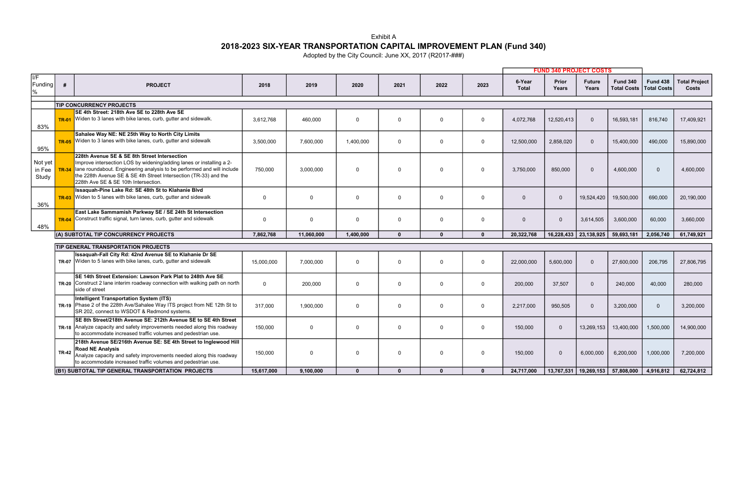|                                             |              |                                                                                                                                                                                                                                                                                                            |            |            |              |              |              |              | <b>FUND 340 PROJECT COSTS</b> |                |                        |                                       |                                       |                               |
|---------------------------------------------|--------------|------------------------------------------------------------------------------------------------------------------------------------------------------------------------------------------------------------------------------------------------------------------------------------------------------------|------------|------------|--------------|--------------|--------------|--------------|-------------------------------|----------------|------------------------|---------------------------------------|---------------------------------------|-------------------------------|
| $\overline{\mathsf{IF}}$<br>Funding<br>$\%$ | #            | <b>PROJECT</b>                                                                                                                                                                                                                                                                                             | 2018       | 2019       | 2020         | 2021         | 2022         | 2023         | 6-Year<br><b>Total</b>        | Prior<br>Years | <b>Future</b><br>Years | <b>Fund 340</b><br><b>Total Costs</b> | <b>Fund 438</b><br><b>Total Costs</b> | <b>Total Project</b><br>Costs |
|                                             |              | <b>TIP CONCURRENCY PROJECTS</b>                                                                                                                                                                                                                                                                            |            |            |              |              |              |              |                               |                |                        |                                       |                                       |                               |
|                                             |              | SE 4th Street: 218th Ave SE to 228th Ave SE                                                                                                                                                                                                                                                                |            |            |              |              |              |              |                               |                |                        |                                       |                                       |                               |
| 83%                                         | <b>TR-01</b> | Widen to 3 lanes with bike lanes, curb, gutter and sidewalk.                                                                                                                                                                                                                                               | 3,612,768  | 460,000    | $\Omega$     | $\Omega$     | $\Omega$     | $\Omega$     | 4,072,768                     | 12,520,413     | $\Omega$               | 16,593,181                            | 816,740                               | 17,409,921                    |
| 95%                                         | <b>TR-05</b> | Sahalee Way NE: NE 25th Way to North City Limits<br>Widen to 3 lanes with bike lanes, curb, gutter and sidewalk                                                                                                                                                                                            | 3,500,000  | 7,600,000  | 1,400,000    | $\mathbf 0$  | $\Omega$     | $\Omega$     | 12,500,000                    | 2,858,020      | $\Omega$               | 15,400,000                            | 490,000                               | 15,890,000                    |
| Not yet<br>in Fee<br>Study                  | <b>TR-34</b> | 228th Avenue SE & SE 8th Street Intersection<br>Improve intersection LOS by widening/adding lanes or installing a 2-<br>lane roundabout. Engineering analysis to be performed and will include<br>the 228th Avenue SE & SE 4th Street Intersection (TR-33) and the<br>228th Ave SE & SE 10th Intersection. | 750.000    | 3.000.000  | $\Omega$     | $\Omega$     | $\Omega$     | $\Omega$     | 3.750.000                     | 850.000        | $\Omega$               | 4.600.000                             | $\Omega$                              | 4.600.000                     |
| 36%                                         | <b>TR-03</b> | Issaquah-Pine Lake Rd: SE 48th St to Klahanie Blvd<br>Widen to 5 lanes with bike lanes, curb, gutter and sidewalk                                                                                                                                                                                          | $\Omega$   | $\Omega$   | $\Omega$     | $\mathbf 0$  | $\Omega$     | $\Omega$     | $\Omega$                      | $\overline{0}$ | 19,524,420             | 19,500,000                            | 690,000                               | 20,190,000                    |
| 48%                                         | <b>TR-04</b> | East Lake Sammamish Parkway SE / SE 24th St Intersection<br>Construct traffic signal, turn lanes, curb, gutter and sidewalk                                                                                                                                                                                | $\Omega$   | $\Omega$   | $\Omega$     | $\Omega$     | $\Omega$     | $\Omega$     | $\Omega$                      | $\overline{0}$ | 3,614,505              | 3,600,000                             | 60,000                                | 3,660,000                     |
|                                             |              | (A) SUBTOTAL TIP CONCURRENCY PROJECTS                                                                                                                                                                                                                                                                      | 7,862,768  | 11.060.000 | 1,400,000    | $\mathbf{0}$ | $\Omega$     | $\Omega$     | 20,322,768                    |                | 16,228,433 23,138,925  | 59,693,181                            | 2,056,740                             | 61,749,921                    |
|                                             |              | <b>TIP GENERAL TRANSPORTATION PROJECTS</b>                                                                                                                                                                                                                                                                 |            |            |              |              |              |              |                               |                |                        |                                       |                                       |                               |
|                                             |              | Issaquah-Fall City Rd: 42nd Avenue SE to Klahanie Dr SE<br>$TR-07$ Widen to 5 lanes with bike lanes, curb, gutter and sidewalk                                                                                                                                                                             | 15,000,000 | 7,000,000  | $\Omega$     | $\Omega$     | $\Omega$     | $\Omega$     | 22,000,000                    | 5,600,000      | $\Omega$               | 27,600,000                            | 206,795                               | 27,806,795                    |
|                                             |              | SE 14th Street Extension: Lawson Park Plat to 248th Ave SE<br>$TR-20$ Construct 2 lane interim roadway connection with walking path on north<br>side of street                                                                                                                                             | $\Omega$   | 200.000    | $\Omega$     | $\Omega$     | $\Omega$     | $\Omega$     | 200,000                       | 37,507         | $\Omega$               | 240,000                               | 40.000                                | 280.000                       |
|                                             |              | Intelligent Transportation System (ITS)<br>TR-19 Phase 2 of the 228th Ave/Sahalee Way ITS project from NE 12th St to<br>SR 202, connect to WSDOT & Redmond systems.                                                                                                                                        | 317,000    | 1,900,000  | $\Omega$     | $\mathbf 0$  | $\Omega$     | $\Omega$     | 2,217,000                     | 950,505        | $\Omega$               | 3,200,000                             | $\Omega$                              | 3,200,000                     |
|                                             | <b>TR-18</b> | SE 8th Street/218th Avenue SE: 212th Avenue SE to SE 4th Street<br>Analyze capacity and safety improvements needed along this roadway<br>to accommodate increased traffic volumes and pedestrian use.                                                                                                      | 150.000    | $\Omega$   | $\Omega$     | $\Omega$     | $\Omega$     | $\Omega$     | 150,000                       | $\overline{0}$ | 13,269,153             | 13,400,000                            | 1,500,000                             | 14,900,000                    |
|                                             | <b>TR-42</b> | 218th Avenue SE/216th Avenue SE: SE 4th Street to Inglewood Hill<br><b>Road NE Analysis</b><br>Analyze capacity and safety improvements needed along this roadway<br>to accommodate increased traffic volumes and pedestrian use.                                                                          | 150,000    | $\Omega$   | $\Omega$     | $\Omega$     | $\Omega$     | $\Omega$     | 150,000                       | $\overline{0}$ | 6,000,000              | 6,200,000                             | 1,000,000                             | 7,200,000                     |
|                                             |              | (B1) SUBTOTAL TIP GENERAL TRANSPORTATION PROJECTS                                                                                                                                                                                                                                                          | 15.617.000 | 9,100,000  | $\mathbf{0}$ | $\mathbf{0}$ | $\mathbf{0}$ | $\mathbf{0}$ | 24,717,000                    | 13,767,531     | 19,269,153             | 57,808,000                            | 4,916,812                             | 62,724,812                    |

Exhibit A

## 2018-2023 SIX-YEAR TRANSPORTATION CAPITAL IMPROVEMENT PLAN (Fund 340)

Adopted by the City Council: June XX, 2017 (R2017-###)